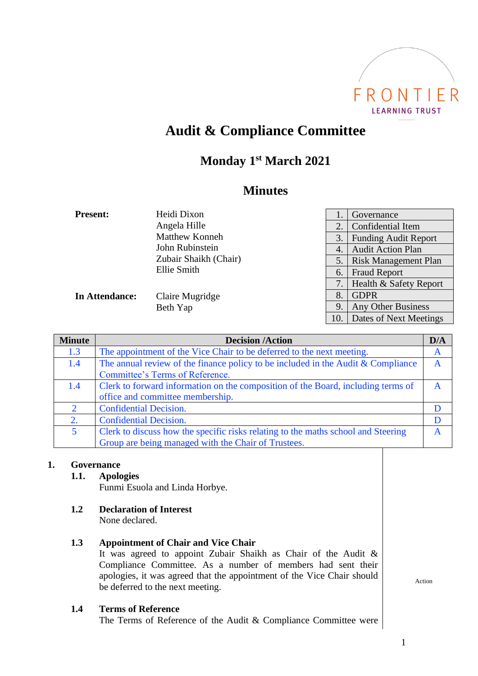

# **Audit & Compliance Committee**

## **Monday 1 st March 2021**

## **Minutes**

| <b>Present:</b> | Heidi Dixon           |                | Governance                  |
|-----------------|-----------------------|----------------|-----------------------------|
|                 | Angela Hille          | 2.             | Confidential Item           |
|                 | <b>Matthew Konneh</b> | 3.             | <b>Funding Audit Report</b> |
|                 | John Rubinstein       | $\overline{4}$ | <b>Audit Action Plan</b>    |
|                 | Zubair Shaikh (Chair) | 5.             | <b>Risk Management Plan</b> |
|                 | Ellie Smith           | 6.             | <b>Fraud Report</b>         |
|                 |                       |                | Health & Safety Report      |
| In Attendance:  | Claire Mugridge       | 8.             | <b>GDPR</b>                 |
|                 | Beth Yap              | 9.             | <b>Any Other Business</b>   |
|                 |                       | 10.            | Dates of Next Meetings      |

| <b>Minute</b> | <b>Decision /Action</b>                                                            | D/A |
|---------------|------------------------------------------------------------------------------------|-----|
| 1.3           | The appointment of the Vice Chair to be deferred to the next meeting.              | A   |
| 1.4           | The annual review of the finance policy to be included in the Audit $&$ Compliance | A   |
|               | Committee's Terms of Reference.                                                    |     |
| 1.4           | Clerk to forward information on the composition of the Board, including terms of   | A   |
|               | office and committee membership.                                                   |     |
| $\mathcal{D}$ | <b>Confidential Decision.</b>                                                      |     |
| 2.            | <b>Confidential Decision.</b>                                                      | D   |
| 5             | Clerk to discuss how the specific risks relating to the maths school and Steering  | A   |
|               | Group are being managed with the Chair of Trustees.                                |     |

### **1. Governance**

#### **1.1. Apologies**

Funmi Esuola and Linda Horbye.

**1.2 Declaration of Interest**

None declared.

### **1.3 Appointment of Chair and Vice Chair**

It was agreed to appoint Zubair Shaikh as Chair of the Audit & Compliance Committee. As a number of members had sent their apologies, it was agreed that the appointment of the Vice Chair should be deferred to the next meeting.

#### **1.4 Terms of Reference**

The Terms of Reference of the Audit & Compliance Committee were

Action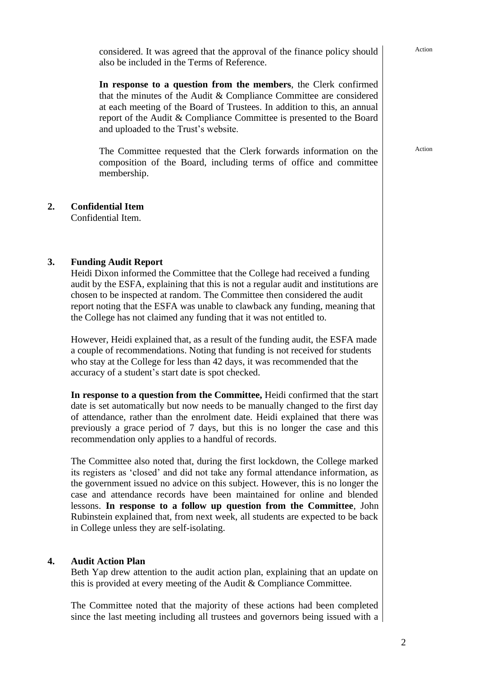considered. It was agreed that the approval of the finance policy should also be included in the Terms of Reference.

**In response to a question from the members**, the Clerk confirmed that the minutes of the Audit & Compliance Committee are considered at each meeting of the Board of Trustees. In addition to this, an annual report of the Audit & Compliance Committee is presented to the Board and uploaded to the Trust's website.

The Committee requested that the Clerk forwards information on the composition of the Board, including terms of office and committee membership.

## **2. Confidential Item**

Confidential Item.

### **3. Funding Audit Report**

Heidi Dixon informed the Committee that the College had received a funding audit by the ESFA, explaining that this is not a regular audit and institutions are chosen to be inspected at random. The Committee then considered the audit report noting that the ESFA was unable to clawback any funding, meaning that the College has not claimed any funding that it was not entitled to.

However, Heidi explained that, as a result of the funding audit, the ESFA made a couple of recommendations. Noting that funding is not received for students who stay at the College for less than 42 days, it was recommended that the accuracy of a student's start date is spot checked.

**In response to a question from the Committee,** Heidi confirmed that the start date is set automatically but now needs to be manually changed to the first day of attendance, rather than the enrolment date. Heidi explained that there was previously a grace period of 7 days, but this is no longer the case and this recommendation only applies to a handful of records.

The Committee also noted that, during the first lockdown, the College marked its registers as 'closed' and did not take any formal attendance information, as the government issued no advice on this subject. However, this is no longer the case and attendance records have been maintained for online and blended lessons. **In response to a follow up question from the Committee**, John Rubinstein explained that, from next week, all students are expected to be back in College unless they are self-isolating.

### **4. Audit Action Plan**

Beth Yap drew attention to the audit action plan, explaining that an update on this is provided at every meeting of the Audit & Compliance Committee.

The Committee noted that the majority of these actions had been completed since the last meeting including all trustees and governors being issued with a

#### Action

Action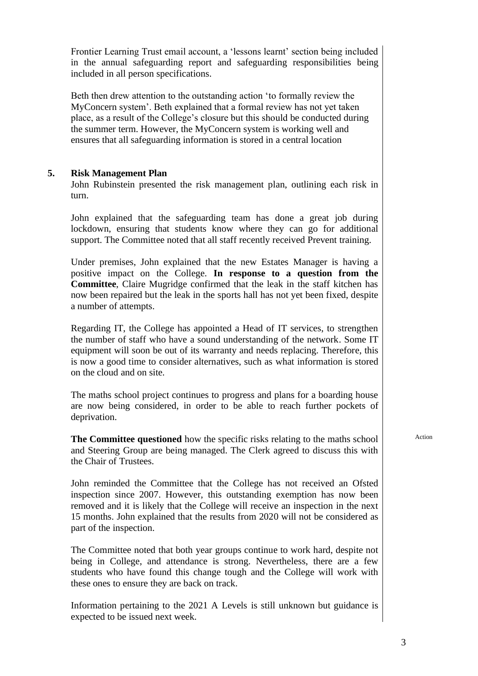Frontier Learning Trust email account, a 'lessons learnt' section being included in the annual safeguarding report and safeguarding responsibilities being included in all person specifications.

Beth then drew attention to the outstanding action 'to formally review the MyConcern system'. Beth explained that a formal review has not yet taken place, as a result of the College's closure but this should be conducted during the summer term. However, the MyConcern system is working well and ensures that all safeguarding information is stored in a central location

#### **5. Risk Management Plan**

John Rubinstein presented the risk management plan, outlining each risk in turn.

John explained that the safeguarding team has done a great job during lockdown, ensuring that students know where they can go for additional support. The Committee noted that all staff recently received Prevent training.

Under premises, John explained that the new Estates Manager is having a positive impact on the College. **In response to a question from the Committee**, Claire Mugridge confirmed that the leak in the staff kitchen has now been repaired but the leak in the sports hall has not yet been fixed, despite a number of attempts.

Regarding IT, the College has appointed a Head of IT services, to strengthen the number of staff who have a sound understanding of the network. Some IT equipment will soon be out of its warranty and needs replacing. Therefore, this is now a good time to consider alternatives, such as what information is stored on the cloud and on site.

The maths school project continues to progress and plans for a boarding house are now being considered, in order to be able to reach further pockets of deprivation.

**The Committee questioned** how the specific risks relating to the maths school and Steering Group are being managed. The Clerk agreed to discuss this with the Chair of Trustees.

John reminded the Committee that the College has not received an Ofsted inspection since 2007. However, this outstanding exemption has now been removed and it is likely that the College will receive an inspection in the next 15 months. John explained that the results from 2020 will not be considered as part of the inspection.

The Committee noted that both year groups continue to work hard, despite not being in College, and attendance is strong. Nevertheless, there are a few students who have found this change tough and the College will work with these ones to ensure they are back on track.

Information pertaining to the 2021 A Levels is still unknown but guidance is expected to be issued next week.

Action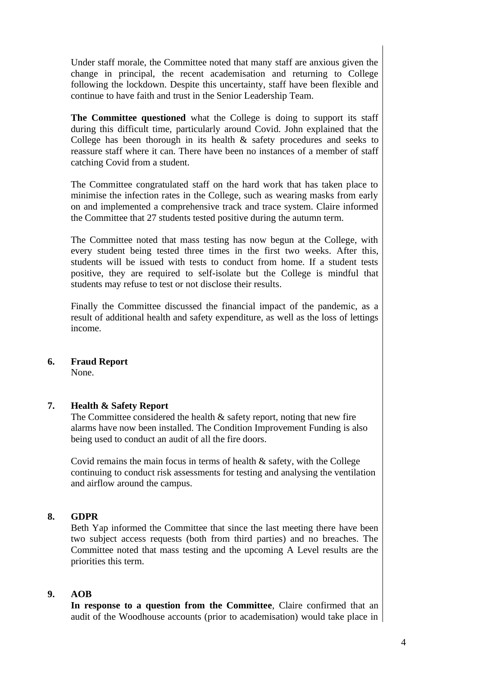Under staff morale, the Committee noted that many staff are anxious given the change in principal, the recent academisation and returning to College following the lockdown. Despite this uncertainty, staff have been flexible and continue to have faith and trust in the Senior Leadership Team.

**The Committee questioned** what the College is doing to support its staff during this difficult time, particularly around Covid. John explained that the College has been thorough in its health & safety procedures and seeks to reassure staff where it can. There have been no instances of a member of staff catching Covid from a student.

The Committee congratulated staff on the hard work that has taken place to minimise the infection rates in the College, such as wearing masks from early on and implemented a comprehensive track and trace system. Claire informed the Committee that 27 students tested positive during the autumn term.

The Committee noted that mass testing has now begun at the College, with every student being tested three times in the first two weeks. After this, students will be issued with tests to conduct from home. If a student tests positive, they are required to self-isolate but the College is mindful that students may refuse to test or not disclose their results.

Finally the Committee discussed the financial impact of the pandemic, as a result of additional health and safety expenditure, as well as the loss of lettings income.

### **6. Fraud Report**

None.

### **7. Health & Safety Report**

The Committee considered the health  $\&$  safety report, noting that new fire alarms have now been installed. The Condition Improvement Funding is also being used to conduct an audit of all the fire doors.

Covid remains the main focus in terms of health & safety, with the College continuing to conduct risk assessments for testing and analysing the ventilation and airflow around the campus.

#### **8. GDPR**

Beth Yap informed the Committee that since the last meeting there have been two subject access requests (both from third parties) and no breaches. The Committee noted that mass testing and the upcoming A Level results are the priorities this term.

#### **9. AOB**

**In response to a question from the Committee**, Claire confirmed that an audit of the Woodhouse accounts (prior to academisation) would take place in